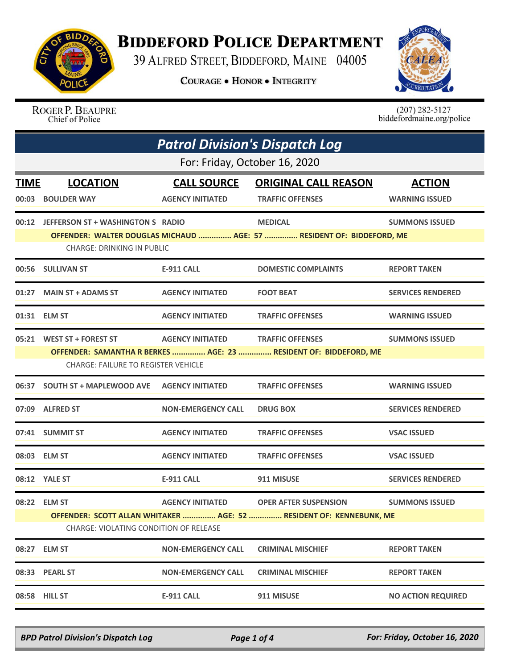

## **BIDDEFORD POLICE DEPARTMENT**

39 ALFRED STREET, BIDDEFORD, MAINE 04005

**COURAGE . HONOR . INTEGRITY** 



ROGER P. BEAUPRE Chief of Police

 $(207)$  282-5127<br>biddefordmaine.org/police

| <b>Patrol Division's Dispatch Log</b> |                                                                                                                |                           |                              |                           |  |  |
|---------------------------------------|----------------------------------------------------------------------------------------------------------------|---------------------------|------------------------------|---------------------------|--|--|
|                                       | For: Friday, October 16, 2020                                                                                  |                           |                              |                           |  |  |
| <b>TIME</b>                           | <b>LOCATION</b>                                                                                                | <b>CALL SOURCE</b>        | <b>ORIGINAL CALL REASON</b>  | <b>ACTION</b>             |  |  |
|                                       | 00:03 BOULDER WAY                                                                                              | <b>AGENCY INITIATED</b>   | <b>TRAFFIC OFFENSES</b>      | <b>WARNING ISSUED</b>     |  |  |
|                                       | 00:12 JEFFERSON ST + WASHINGTON S RADIO                                                                        |                           | <b>MEDICAL</b>               | <b>SUMMONS ISSUED</b>     |  |  |
|                                       | OFFENDER: WALTER DOUGLAS MICHAUD  AGE: 57  RESIDENT OF: BIDDEFORD, ME<br><b>CHARGE: DRINKING IN PUBLIC</b>     |                           |                              |                           |  |  |
|                                       | 00:56 SULLIVAN ST                                                                                              | <b>E-911 CALL</b>         | <b>DOMESTIC COMPLAINTS</b>   | <b>REPORT TAKEN</b>       |  |  |
|                                       | 01:27 MAIN ST + ADAMS ST                                                                                       | <b>AGENCY INITIATED</b>   | <b>FOOT BEAT</b>             | <b>SERVICES RENDERED</b>  |  |  |
|                                       | 01:31 ELM ST                                                                                                   | <b>AGENCY INITIATED</b>   | <b>TRAFFIC OFFENSES</b>      | <b>WARNING ISSUED</b>     |  |  |
|                                       | 05:21 WEST ST + FOREST ST                                                                                      | <b>AGENCY INITIATED</b>   | <b>TRAFFIC OFFENSES</b>      | <b>SUMMONS ISSUED</b>     |  |  |
|                                       | OFFENDER: SAMANTHA R BERKES  AGE: 23  RESIDENT OF: BIDDEFORD, ME<br><b>CHARGE: FAILURE TO REGISTER VEHICLE</b> |                           |                              |                           |  |  |
|                                       | 06:37  SOUTH ST + MAPLEWOOD AVE  AGENCY INITIATED                                                              |                           | <b>TRAFFIC OFFENSES</b>      | <b>WARNING ISSUED</b>     |  |  |
|                                       | 07:09 ALFRED ST                                                                                                | <b>NON-EMERGENCY CALL</b> | <b>DRUG BOX</b>              | <b>SERVICES RENDERED</b>  |  |  |
|                                       | 07:41 SUMMIT ST                                                                                                | <b>AGENCY INITIATED</b>   | <b>TRAFFIC OFFENSES</b>      | <b>VSAC ISSUED</b>        |  |  |
|                                       | 08:03 ELM ST                                                                                                   | <b>AGENCY INITIATED</b>   | <b>TRAFFIC OFFENSES</b>      | <b>VSAC ISSUED</b>        |  |  |
|                                       | 08:12 YALE ST                                                                                                  | <b>E-911 CALL</b>         | 911 MISUSE                   | <b>SERVICES RENDERED</b>  |  |  |
|                                       | 08:22 ELM ST                                                                                                   | <b>AGENCY INITIATED</b>   | <b>OPER AFTER SUSPENSION</b> | <b>SUMMONS ISSUED</b>     |  |  |
|                                       | OFFENDER: SCOTT ALLAN WHITAKER  AGE: 52  RESIDENT OF: KENNEBUNK, ME<br>CHARGE: VIOLATING CONDITION OF RELEASE  |                           |                              |                           |  |  |
| 08:27                                 | <b>ELM ST</b>                                                                                                  | <b>NON-EMERGENCY CALL</b> | <b>CRIMINAL MISCHIEF</b>     | <b>REPORT TAKEN</b>       |  |  |
| 08:33                                 | <b>PEARL ST</b>                                                                                                | <b>NON-EMERGENCY CALL</b> | <b>CRIMINAL MISCHIEF</b>     | <b>REPORT TAKEN</b>       |  |  |
| 08:58                                 | <b>HILL ST</b>                                                                                                 | <b>E-911 CALL</b>         | 911 MISUSE                   | <b>NO ACTION REQUIRED</b> |  |  |

*BPD Patrol Division's Dispatch Log Page 1 of 4 For: Friday, October 16, 2020*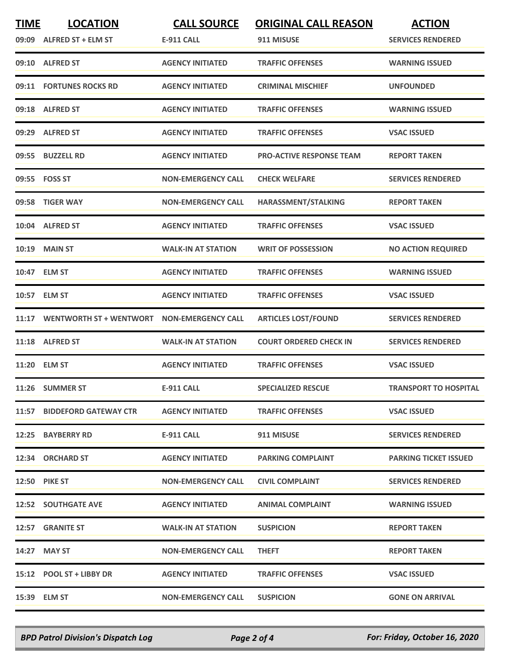| <b>TIME</b> | <b>LOCATION</b>                | <b>CALL SOURCE</b>        | <b>ORIGINAL CALL REASON</b>     | <b>ACTION</b>                |
|-------------|--------------------------------|---------------------------|---------------------------------|------------------------------|
|             | 09:09 ALFRED ST + ELM ST       | <b>E-911 CALL</b>         | 911 MISUSE                      | <b>SERVICES RENDERED</b>     |
|             | 09:10 ALFRED ST                | <b>AGENCY INITIATED</b>   | <b>TRAFFIC OFFENSES</b>         | <b>WARNING ISSUED</b>        |
|             | 09:11 FORTUNES ROCKS RD        | <b>AGENCY INITIATED</b>   | <b>CRIMINAL MISCHIEF</b>        | <b>UNFOUNDED</b>             |
|             | 09:18 ALFRED ST                | <b>AGENCY INITIATED</b>   | <b>TRAFFIC OFFENSES</b>         | <b>WARNING ISSUED</b>        |
|             | 09:29 ALFRED ST                | <b>AGENCY INITIATED</b>   | <b>TRAFFIC OFFENSES</b>         | <b>VSAC ISSUED</b>           |
|             | 09:55 BUZZELL RD               | <b>AGENCY INITIATED</b>   | <b>PRO-ACTIVE RESPONSE TEAM</b> | <b>REPORT TAKEN</b>          |
|             | 09:55 FOSS ST                  | <b>NON-EMERGENCY CALL</b> | <b>CHECK WELFARE</b>            | <b>SERVICES RENDERED</b>     |
|             | 09:58 TIGER WAY                | <b>NON-EMERGENCY CALL</b> | HARASSMENT/STALKING             | <b>REPORT TAKEN</b>          |
|             | 10:04 ALFRED ST                | <b>AGENCY INITIATED</b>   | <b>TRAFFIC OFFENSES</b>         | <b>VSAC ISSUED</b>           |
| 10:19       | <b>MAIN ST</b>                 | <b>WALK-IN AT STATION</b> | <b>WRIT OF POSSESSION</b>       | <b>NO ACTION REQUIRED</b>    |
|             | 10:47 ELM ST                   | <b>AGENCY INITIATED</b>   | <b>TRAFFIC OFFENSES</b>         | <b>WARNING ISSUED</b>        |
|             | 10:57 ELM ST                   | <b>AGENCY INITIATED</b>   | <b>TRAFFIC OFFENSES</b>         | <b>VSAC ISSUED</b>           |
| 11:17       | <b>WENTWORTH ST + WENTWORT</b> | <b>NON-EMERGENCY CALL</b> | <b>ARTICLES LOST/FOUND</b>      | <b>SERVICES RENDERED</b>     |
|             | 11:18 ALFRED ST                | <b>WALK-IN AT STATION</b> | <b>COURT ORDERED CHECK IN</b>   | <b>SERVICES RENDERED</b>     |
|             | 11:20 ELM ST                   | <b>AGENCY INITIATED</b>   | <b>TRAFFIC OFFENSES</b>         | <b>VSAC ISSUED</b>           |
|             | 11:26 SUMMER ST                | <b>E-911 CALL</b>         | <b>SPECIALIZED RESCUE</b>       | <b>TRANSPORT TO HOSPITAL</b> |
|             | 11:57 BIDDEFORD GATEWAY CTR    | <b>AGENCY INITIATED</b>   | <b>TRAFFIC OFFENSES</b>         | <b>VSAC ISSUED</b>           |
|             | 12:25 BAYBERRY RD              | E-911 CALL                | 911 MISUSE                      | <b>SERVICES RENDERED</b>     |
|             | 12:34 ORCHARD ST               | <b>AGENCY INITIATED</b>   | <b>PARKING COMPLAINT</b>        | <b>PARKING TICKET ISSUED</b> |
|             | <b>12:50 PIKE ST</b>           | <b>NON-EMERGENCY CALL</b> | <b>CIVIL COMPLAINT</b>          | <b>SERVICES RENDERED</b>     |
|             | <b>12:52 SOUTHGATE AVE</b>     | <b>AGENCY INITIATED</b>   | <b>ANIMAL COMPLAINT</b>         | <b>WARNING ISSUED</b>        |
|             | 12:57 GRANITE ST               | <b>WALK-IN AT STATION</b> | <b>SUSPICION</b>                | <b>REPORT TAKEN</b>          |
|             | 14:27 MAY ST                   | <b>NON-EMERGENCY CALL</b> | <b>THEFT</b>                    | <b>REPORT TAKEN</b>          |
|             | 15:12 POOL ST + LIBBY DR       | <b>AGENCY INITIATED</b>   | <b>TRAFFIC OFFENSES</b>         | <b>VSAC ISSUED</b>           |
|             | 15:39 ELM ST                   | <b>NON-EMERGENCY CALL</b> | <b>SUSPICION</b>                | <b>GONE ON ARRIVAL</b>       |

*BPD Patrol Division's Dispatch Log Page 2 of 4 For: Friday, October 16, 2020*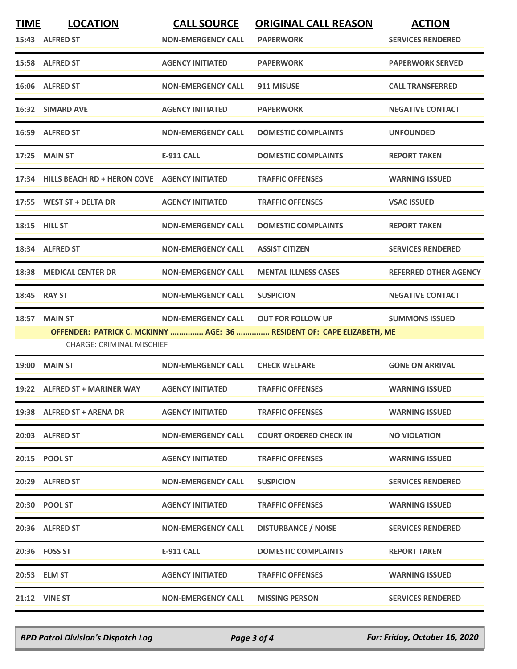| <b>TIME</b>  | <b>LOCATION</b><br>15:43 ALFRED ST                 | <b>CALL SOURCE</b><br><b>NON-EMERGENCY CALL</b> | <b>ORIGINAL CALL REASON</b><br><b>PAPERWORK</b>                                                    | <b>ACTION</b><br><b>SERVICES RENDERED</b> |
|--------------|----------------------------------------------------|-------------------------------------------------|----------------------------------------------------------------------------------------------------|-------------------------------------------|
|              | 15:58 ALFRED ST                                    | <b>AGENCY INITIATED</b>                         | <b>PAPERWORK</b>                                                                                   | <b>PAPERWORK SERVED</b>                   |
|              | 16:06 ALFRED ST                                    | <b>NON-EMERGENCY CALL</b>                       | 911 MISUSE                                                                                         | <b>CALL TRANSFERRED</b>                   |
|              | 16:32 SIMARD AVE                                   | <b>AGENCY INITIATED</b>                         | <b>PAPERWORK</b>                                                                                   | <b>NEGATIVE CONTACT</b>                   |
|              | 16:59 ALFRED ST                                    | <b>NON-EMERGENCY CALL</b>                       | <b>DOMESTIC COMPLAINTS</b>                                                                         | <b>UNFOUNDED</b>                          |
|              | 17:25 MAIN ST                                      | <b>E-911 CALL</b>                               | <b>DOMESTIC COMPLAINTS</b>                                                                         | <b>REPORT TAKEN</b>                       |
|              | 17:34 HILLS BEACH RD + HERON COVE AGENCY INITIATED |                                                 | <b>TRAFFIC OFFENSES</b>                                                                            | <b>WARNING ISSUED</b>                     |
|              | 17:55 WEST ST + DELTA DR                           | <b>AGENCY INITIATED</b>                         | <b>TRAFFIC OFFENSES</b>                                                                            | <b>VSAC ISSUED</b>                        |
|              | 18:15 HILL ST                                      | <b>NON-EMERGENCY CALL</b>                       | <b>DOMESTIC COMPLAINTS</b>                                                                         | <b>REPORT TAKEN</b>                       |
|              | 18:34 ALFRED ST                                    | <b>NON-EMERGENCY CALL</b>                       | <b>ASSIST CITIZEN</b>                                                                              | <b>SERVICES RENDERED</b>                  |
|              | 18:38 MEDICAL CENTER DR                            | <b>NON-EMERGENCY CALL</b>                       | <b>MENTAL ILLNESS CASES</b>                                                                        | <b>REFERRED OTHER AGENCY</b>              |
| 18:45 RAY ST |                                                    | <b>NON-EMERGENCY CALL</b>                       | <b>SUSPICION</b>                                                                                   | <b>NEGATIVE CONTACT</b>                   |
| 18:57        | <b>MAIN ST</b><br><b>CHARGE: CRIMINAL MISCHIEF</b> | <b>NON-EMERGENCY CALL</b>                       | <b>OUT FOR FOLLOW UP</b><br>OFFENDER: PATRICK C. MCKINNY  AGE: 36  RESIDENT OF: CAPE ELIZABETH, ME | <b>SUMMONS ISSUED</b>                     |
|              | <b>19:00 MAIN ST</b>                               | <b>NON-EMERGENCY CALL</b>                       | <b>CHECK WELFARE</b>                                                                               | <b>GONE ON ARRIVAL</b>                    |
|              | 19:22 ALFRED ST + MARINER WAY                      | <b>AGENCY INITIATED</b>                         | <b>TRAFFIC OFFENSES</b>                                                                            | <b>WARNING ISSUED</b>                     |
|              | 19:38 ALFRED ST + ARENA DR                         | <b>AGENCY INITIATED</b>                         | <b>TRAFFIC OFFENSES</b>                                                                            | <b>WARNING ISSUED</b>                     |
|              | 20:03 ALFRED ST                                    | <b>NON-EMERGENCY CALL</b>                       | <b>COURT ORDERED CHECK IN</b>                                                                      | <b>NO VIOLATION</b>                       |
|              | 20:15 POOL ST                                      | <b>AGENCY INITIATED</b>                         | <b>TRAFFIC OFFENSES</b>                                                                            | <b>WARNING ISSUED</b>                     |
|              | 20:29 ALFRED ST                                    | <b>NON-EMERGENCY CALL</b>                       | <b>SUSPICION</b>                                                                                   | <b>SERVICES RENDERED</b>                  |
|              | 20:30 POOL ST                                      | <b>AGENCY INITIATED</b>                         | <b>TRAFFIC OFFENSES</b>                                                                            | <b>WARNING ISSUED</b>                     |
|              | 20:36 ALFRED ST                                    | <b>NON-EMERGENCY CALL</b>                       | <b>DISTURBANCE / NOISE</b>                                                                         | <b>SERVICES RENDERED</b>                  |
|              | 20:36 FOSS ST                                      | <b>E-911 CALL</b>                               | <b>DOMESTIC COMPLAINTS</b>                                                                         | <b>REPORT TAKEN</b>                       |
|              | 20:53 ELM ST                                       | <b>AGENCY INITIATED</b>                         | <b>TRAFFIC OFFENSES</b>                                                                            | <b>WARNING ISSUED</b>                     |
|              | <b>21:12 VINE ST</b>                               | <b>NON-EMERGENCY CALL</b>                       | <b>MISSING PERSON</b>                                                                              | <b>SERVICES RENDERED</b>                  |

*BPD Patrol Division's Dispatch Log Page 3 of 4 For: Friday, October 16, 2020*